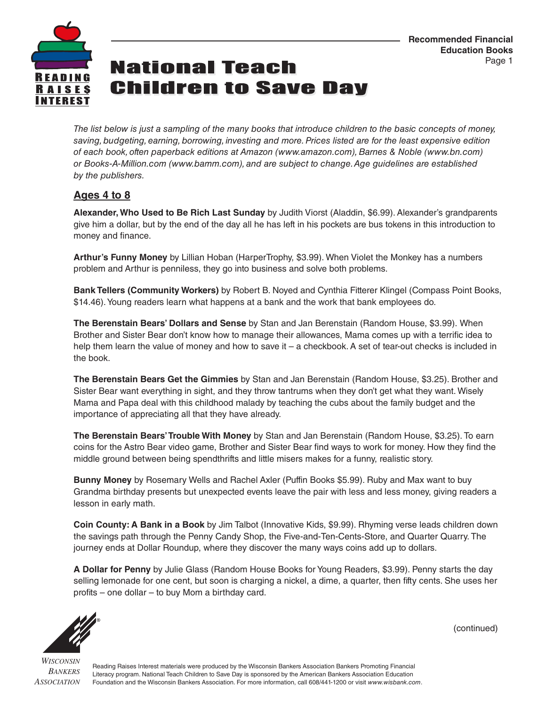

## **National Teach Children to Save Day**

*The list below is just a sampling of the many books that introduce children to the basic concepts of money, saving, budgeting, earning, borrowing, investing and more. Prices listed are for the least expensive edition of each book, often paperback editions at Amazon (www.amazon.com), Barnes & Noble (www.bn.com) or Books-A-Million.com (www.bamm.com), and are subject to change. Age guidelines are established by the publishers.*

### **Ages 4 to 8**

**Alexander, Who Used to Be Rich Last Sunday** by Judith Viorst (Aladdin, \$6.99). Alexander's grandparents give him a dollar, but by the end of the day all he has left in his pockets are bus tokens in this introduction to money and finance.

**Arthur's Funny Money** by Lillian Hoban (HarperTrophy, \$3.99). When Violet the Monkey has a numbers problem and Arthur is penniless, they go into business and solve both problems.

**Bank Tellers (Community Workers)** by Robert B. Noyed and Cynthia Fitterer Klingel (Compass Point Books, \$14.46). Young readers learn what happens at a bank and the work that bank employees do.

**The Berenstain Bears' Dollars and Sense** by Stan and Jan Berenstain (Random House, \$3.99). When Brother and Sister Bear don't know how to manage their allowances, Mama comes up with a terrific idea to help them learn the value of money and how to save it – a checkbook. A set of tear-out checks is included in the book.

**The Berenstain Bears Get the Gimmies** by Stan and Jan Berenstain (Random House, \$3.25). Brother and Sister Bear want everything in sight, and they throw tantrums when they don't get what they want. Wisely Mama and Papa deal with this childhood malady by teaching the cubs about the family budget and the importance of appreciating all that they have already.

**The Berenstain Bears' Trouble With Money** by Stan and Jan Berenstain (Random House, \$3.25). To earn coins for the Astro Bear video game, Brother and Sister Bear find ways to work for money. How they find the middle ground between being spendthrifts and little misers makes for a funny, realistic story.

**Bunny Money** by Rosemary Wells and Rachel Axler (Puffin Books \$5.99). Ruby and Max want to buy Grandma birthday presents but unexpected events leave the pair with less and less money, giving readers a lesson in early math.

**Coin County: A Bank in a Book** by Jim Talbot (Innovative Kids, \$9.99). Rhyming verse leads children down the savings path through the Penny Candy Shop, the Five-and-Ten-Cents-Store, and Quarter Quarry. The journey ends at Dollar Roundup, where they discover the many ways coins add up to dollars.

**A Dollar for Penny** by Julie Glass (Random House Books for Young Readers, \$3.99). Penny starts the day selling lemonade for one cent, but soon is charging a nickel, a dime, a quarter, then fifty cents. She uses her profits – one dollar – to buy Mom a birthday card.



(continued)

*WISCONSIN BANKERS ASSOCIATION*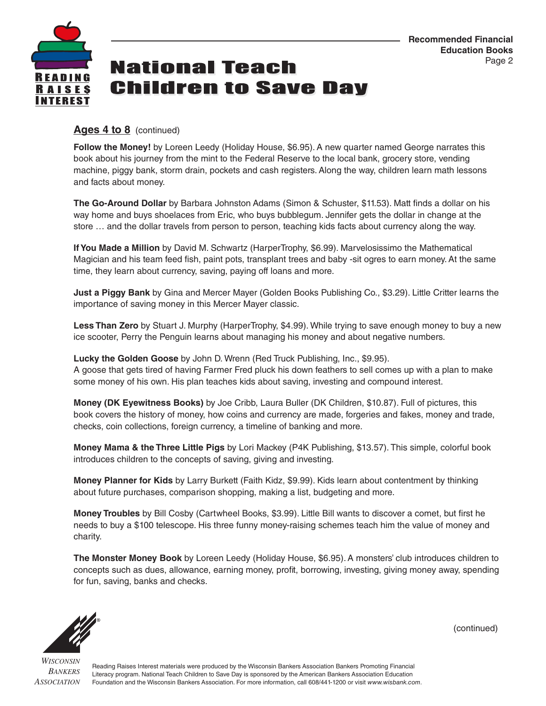

## **National Teach Children to Save Day**

#### **Ages 4 to 8** (continued)

**Follow the Money!** by Loreen Leedy (Holiday House, \$6.95). A new quarter named George narrates this book about his journey from the mint to the Federal Reserve to the local bank, grocery store, vending machine, piggy bank, storm drain, pockets and cash registers. Along the way, children learn math lessons and facts about money.

**The Go-Around Dollar** by Barbara Johnston Adams (Simon & Schuster, \$11.53). Matt finds a dollar on his way home and buys shoelaces from Eric, who buys bubblegum. Jennifer gets the dollar in change at the store … and the dollar travels from person to person, teaching kids facts about currency along the way.

**If You Made a Million** by David M. Schwartz (HarperTrophy, \$6.99). Marvelosissimo the Mathematical Magician and his team feed fish, paint pots, transplant trees and baby -sit ogres to earn money. At the same time, they learn about currency, saving, paying off loans and more.

**Just a Piggy Bank** by Gina and Mercer Mayer (Golden Books Publishing Co., \$3.29). Little Critter learns the importance of saving money in this Mercer Mayer classic.

**Less Than Zero** by Stuart J. Murphy (HarperTrophy, \$4.99). While trying to save enough money to buy a new ice scooter, Perry the Penguin learns about managing his money and about negative numbers.

**Lucky the Golden Goose** by John D. Wrenn (Red Truck Publishing, Inc., \$9.95). A goose that gets tired of having Farmer Fred pluck his down feathers to sell comes up with a plan to make some money of his own. His plan teaches kids about saving, investing and compound interest.

**Money (DK Eyewitness Books)** by Joe Cribb, Laura Buller (DK Children, \$10.87). Full of pictures, this book covers the history of money, how coins and currency are made, forgeries and fakes, money and trade, checks, coin collections, foreign currency, a timeline of banking and more.

**Money Mama & the Three Little Pigs** by Lori Mackey (P4K Publishing, \$13.57). This simple, colorful book introduces children to the concepts of saving, giving and investing.

**Money Planner for Kids** by Larry Burkett (Faith Kidz, \$9.99). Kids learn about contentment by thinking about future purchases, comparison shopping, making a list, budgeting and more.

**Money Troubles** by Bill Cosby (Cartwheel Books, \$3.99). Little Bill wants to discover a comet, but first he needs to buy a \$100 telescope. His three funny money-raising schemes teach him the value of money and charity.

**The Monster Money Book** by Loreen Leedy (Holiday House, \$6.95). A monsters' club introduces children to concepts such as dues, allowance, earning money, profit, borrowing, investing, giving money away, spending for fun, saving, banks and checks.



(continued)

*WISCONSIN BANKERS ASSOCIATION*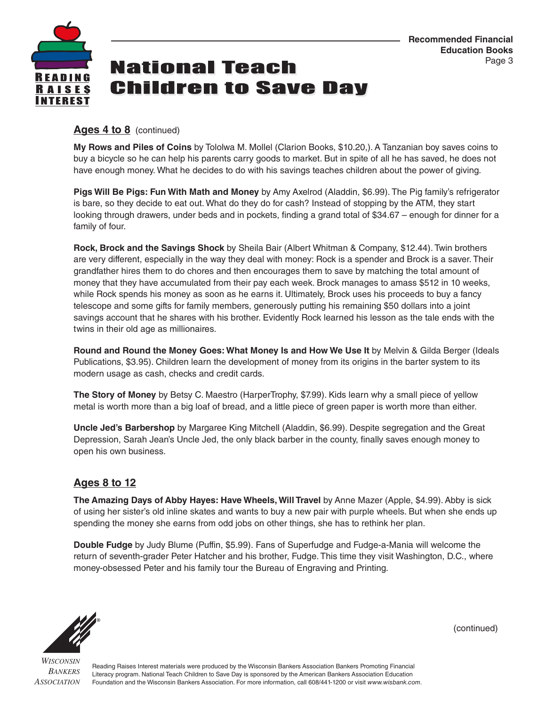

## **National Teach Children to Save Dav**

#### **Ages 4 to 8** (continued)

**My Rows and Piles of Coins** by Tololwa M. Mollel (Clarion Books, \$10.20,). A Tanzanian boy saves coins to buy a bicycle so he can help his parents carry goods to market. But in spite of all he has saved, he does not have enough money. What he decides to do with his savings teaches children about the power of giving.

**Pigs Will Be Pigs: Fun With Math and Money** by Amy Axelrod (Aladdin, \$6.99). The Pig family's refrigerator is bare, so they decide to eat out. What do they do for cash? Instead of stopping by the ATM, they start looking through drawers, under beds and in pockets, finding a grand total of \$34.67 – enough for dinner for a family of four.

**Rock, Brock and the Savings Shock** by Sheila Bair (Albert Whitman & Company, \$12.44). Twin brothers are very different, especially in the way they deal with money: Rock is a spender and Brock is a saver. Their grandfather hires them to do chores and then encourages them to save by matching the total amount of money that they have accumulated from their pay each week. Brock manages to amass \$512 in 10 weeks, while Rock spends his money as soon as he earns it. Ultimately, Brock uses his proceeds to buy a fancy telescope and some gifts for family members, generously putting his remaining \$50 dollars into a joint savings account that he shares with his brother. Evidently Rock learned his lesson as the tale ends with the twins in their old age as millionaires.

**Round and Round the Money Goes: What Money Is and How We Use It** by Melvin & Gilda Berger (Ideals Publications, \$3.95). Children learn the development of money from its origins in the barter system to its modern usage as cash, checks and credit cards.

**The Story of Money** by Betsy C. Maestro (HarperTrophy, \$7.99). Kids learn why a small piece of yellow metal is worth more than a big loaf of bread, and a little piece of green paper is worth more than either.

**Uncle Jed's Barbershop** by Margaree King Mitchell (Aladdin, \$6.99). Despite segregation and the Great Depression, Sarah Jean's Uncle Jed, the only black barber in the county, finally saves enough money to open his own business.

### **Ages 8 to 12**

**The Amazing Days of Abby Hayes: Have Wheels, Will Travel** by Anne Mazer (Apple, \$4.99). Abby is sick of using her sister's old inline skates and wants to buy a new pair with purple wheels. But when she ends up spending the money she earns from odd jobs on other things, she has to rethink her plan.

**Double Fudge** by Judy Blume (Puffin, \$5.99). Fans of Superfudge and Fudge-a-Mania will welcome the return of seventh-grader Peter Hatcher and his brother, Fudge. This time they visit Washington, D.C., where money-obsessed Peter and his family tour the Bureau of Engraving and Printing.



(continued)

*WISCONSIN BANKERS ASSOCIATION*

Reading Raises Interest materials were produced by the Wisconsin Bankers Association Bankers Promoting Financial Literacy program. National Teach Children to Save Day is sponsored by the American Bankers Association Education Foundation and the Wisconsin Bankers Association. For more information, call 608/441-1200 or visit *www.wisbank.com*.